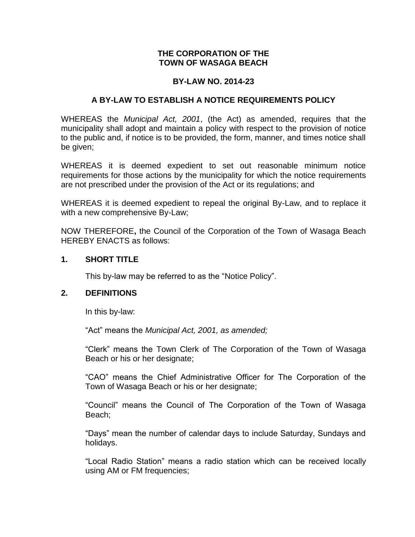## **THE CORPORATION OF THE TOWN OF WASAGA BEACH**

### **BY-LAW NO. 2014-23**

### **A BY-LAW TO ESTABLISH A NOTICE REQUIREMENTS POLICY**

WHEREAS the *Municipal Act, 2001*, (the Act) as amended, requires that the municipality shall adopt and maintain a policy with respect to the provision of notice to the public and, if notice is to be provided, the form, manner, and times notice shall be given;

WHEREAS it is deemed expedient to set out reasonable minimum notice requirements for those actions by the municipality for which the notice requirements are not prescribed under the provision of the Act or its regulations; and

WHEREAS it is deemed expedient to repeal the original By-Law, and to replace it with a new comprehensive By-Law;

NOW THEREFORE**,** the Council of the Corporation of the Town of Wasaga Beach HEREBY ENACTS as follows:

### **1. SHORT TITLE**

This by-law may be referred to as the "Notice Policy".

#### **2. DEFINITIONS**

In this by-law:

"Act" means the *Municipal Act, 2001, as amended;*

"Clerk" means the Town Clerk of The Corporation of the Town of Wasaga Beach or his or her designate;

"CAO" means the Chief Administrative Officer for The Corporation of the Town of Wasaga Beach or his or her designate;

"Council" means the Council of The Corporation of the Town of Wasaga Beach;

"Days" mean the number of calendar days to include Saturday, Sundays and holidays.

"Local Radio Station" means a radio station which can be received locally using AM or FM frequencies;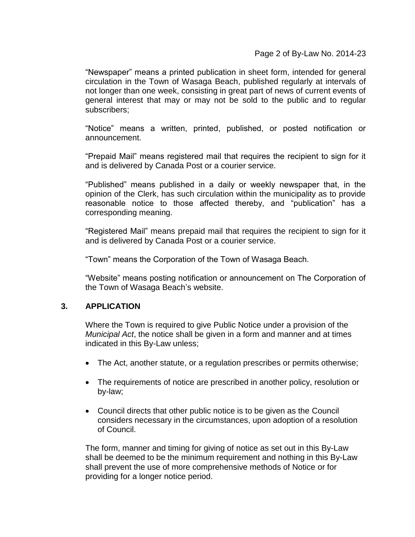Page 2 of By-Law No. 2014-23

"Newspaper" means a printed publication in sheet form, intended for general circulation in the Town of Wasaga Beach, published regularly at intervals of not longer than one week, consisting in great part of news of current events of general interest that may or may not be sold to the public and to regular subscribers;

"Notice" means a written, printed, published, or posted notification or announcement.

"Prepaid Mail" means registered mail that requires the recipient to sign for it and is delivered by Canada Post or a courier service.

"Published" means published in a daily or weekly newspaper that, in the opinion of the Clerk, has such circulation within the municipality as to provide reasonable notice to those affected thereby, and "publication" has a corresponding meaning.

"Registered Mail" means prepaid mail that requires the recipient to sign for it and is delivered by Canada Post or a courier service.

"Town" means the Corporation of the Town of Wasaga Beach.

"Website" means posting notification or announcement on The Corporation of the Town of Wasaga Beach's website.

# **3. APPLICATION**

Where the Town is required to give Public Notice under a provision of the *Municipal Act*, the notice shall be given in a form and manner and at times indicated in this By-Law unless;

- The Act, another statute, or a regulation prescribes or permits otherwise;
- The requirements of notice are prescribed in another policy, resolution or by-law;
- Council directs that other public notice is to be given as the Council considers necessary in the circumstances, upon adoption of a resolution of Council.

The form, manner and timing for giving of notice as set out in this By-Law shall be deemed to be the minimum requirement and nothing in this By-Law shall prevent the use of more comprehensive methods of Notice or for providing for a longer notice period.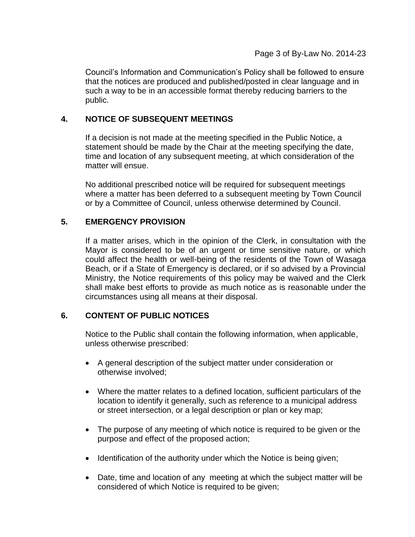Council's Information and Communication's Policy shall be followed to ensure that the notices are produced and published/posted in clear language and in such a way to be in an accessible format thereby reducing barriers to the public.

# **4. NOTICE OF SUBSEQUENT MEETINGS**

If a decision is not made at the meeting specified in the Public Notice, a statement should be made by the Chair at the meeting specifying the date, time and location of any subsequent meeting, at which consideration of the matter will ensue.

No additional prescribed notice will be required for subsequent meetings where a matter has been deferred to a subsequent meeting by Town Council or by a Committee of Council, unless otherwise determined by Council.

# **5. EMERGENCY PROVISION**

If a matter arises, which in the opinion of the Clerk, in consultation with the Mayor is considered to be of an urgent or time sensitive nature, or which could affect the health or well-being of the residents of the Town of Wasaga Beach, or if a State of Emergency is declared, or if so advised by a Provincial Ministry, the Notice requirements of this policy may be waived and the Clerk shall make best efforts to provide as much notice as is reasonable under the circumstances using all means at their disposal.

# **6. CONTENT OF PUBLIC NOTICES**

Notice to the Public shall contain the following information, when applicable, unless otherwise prescribed:

- A general description of the subject matter under consideration or otherwise involved;
- Where the matter relates to a defined location, sufficient particulars of the location to identify it generally, such as reference to a municipal address or street intersection, or a legal description or plan or key map;
- The purpose of any meeting of which notice is required to be given or the purpose and effect of the proposed action;
- Identification of the authority under which the Notice is being given;
- Date, time and location of any meeting at which the subject matter will be considered of which Notice is required to be given;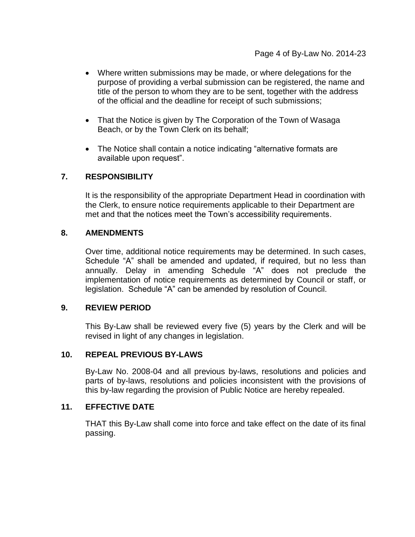- Where written submissions may be made, or where delegations for the purpose of providing a verbal submission can be registered, the name and title of the person to whom they are to be sent, together with the address of the official and the deadline for receipt of such submissions;
- That the Notice is given by The Corporation of the Town of Wasaga Beach, or by the Town Clerk on its behalf;
- The Notice shall contain a notice indicating "alternative formats are available upon request".

# **7. RESPONSIBILITY**

It is the responsibility of the appropriate Department Head in coordination with the Clerk, to ensure notice requirements applicable to their Department are met and that the notices meet the Town's accessibility requirements.

# **8. AMENDMENTS**

Over time, additional notice requirements may be determined. In such cases, Schedule "A" shall be amended and updated, if required, but no less than annually. Delay in amending Schedule "A" does not preclude the implementation of notice requirements as determined by Council or staff, or legislation. Schedule "A" can be amended by resolution of Council.

# **9. REVIEW PERIOD**

This By-Law shall be reviewed every five (5) years by the Clerk and will be revised in light of any changes in legislation.

# **10. REPEAL PREVIOUS BY-LAWS**

By-Law No. 2008-04 and all previous by-laws, resolutions and policies and parts of by-laws, resolutions and policies inconsistent with the provisions of this by-law regarding the provision of Public Notice are hereby repealed.

# **11. EFFECTIVE DATE**

THAT this By-Law shall come into force and take effect on the date of its final passing.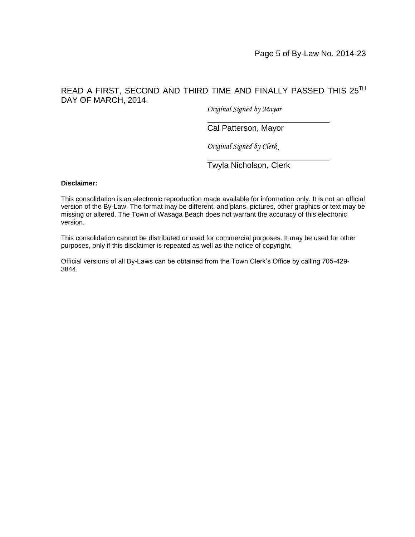# READ A FIRST, SECOND AND THIRD TIME AND FINALLY PASSED THIS 25TH DAY OF MARCH, 2014.

*Original Signed by Mayor*

# Cal Patterson, Mayor

*Original Signed by Clerk*

Twyla Nicholson, Clerk

#### **Disclaimer:**

This consolidation is an electronic reproduction made available for information only. It is not an official version of the By-Law. The format may be different, and plans, pictures, other graphics or text may be missing or altered. The Town of Wasaga Beach does not warrant the accuracy of this electronic version.

This consolidation cannot be distributed or used for commercial purposes. It may be used for other purposes, only if this disclaimer is repeated as well as the notice of copyright.

Official versions of all By-Laws can be obtained from the Town Clerk's Office by calling 705-429- 3844.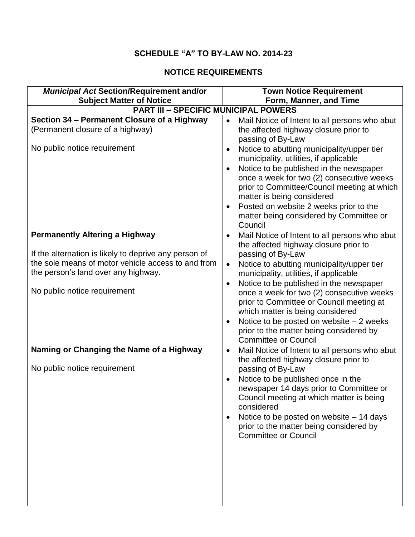# **SCHEDULE "A" TO BY-LAW NO. 2014-23**

# **NOTICE REQUIREMENTS**

| <b>Municipal Act Section/Requirement and/or</b>                                | <b>Town Notice Requirement</b>                                                                                                                                                                                                                                                                                                                                                      |
|--------------------------------------------------------------------------------|-------------------------------------------------------------------------------------------------------------------------------------------------------------------------------------------------------------------------------------------------------------------------------------------------------------------------------------------------------------------------------------|
| <b>Subject Matter of Notice</b><br><b>PART III - SPECIFIC MUNICIPAL POWERS</b> | Form, Manner, and Time                                                                                                                                                                                                                                                                                                                                                              |
| Section 34 - Permanent Closure of a Highway                                    |                                                                                                                                                                                                                                                                                                                                                                                     |
| (Permanent closure of a highway)                                               | Mail Notice of Intent to all persons who abut<br>the affected highway closure prior to<br>passing of By-Law                                                                                                                                                                                                                                                                         |
| No public notice requirement                                                   | Notice to abutting municipality/upper tier<br>$\bullet$<br>municipality, utilities, if applicable<br>Notice to be published in the newspaper<br>once a week for two (2) consecutive weeks<br>prior to Committee/Council meeting at which<br>matter is being considered<br>Posted on website 2 weeks prior to the<br>$\bullet$<br>matter being considered by Committee or<br>Council |
| <b>Permanently Altering a Highway</b>                                          | Mail Notice of Intent to all persons who abut<br>$\bullet$<br>the affected highway closure prior to                                                                                                                                                                                                                                                                                 |
| If the alternation is likely to deprive any person of                          | passing of By-Law                                                                                                                                                                                                                                                                                                                                                                   |
| the sole means of motor vehicle access to and from                             | Notice to abutting municipality/upper tier<br>$\bullet$                                                                                                                                                                                                                                                                                                                             |
| the person's land over any highway.                                            | municipality, utilities, if applicable                                                                                                                                                                                                                                                                                                                                              |
| No public notice requirement                                                   | Notice to be published in the newspaper<br>$\bullet$<br>once a week for two (2) consecutive weeks<br>prior to Committee or Council meeting at<br>which matter is being considered<br>Notice to be posted on website $-2$ weeks<br>$\bullet$<br>prior to the matter being considered by<br><b>Committee or Council</b>                                                               |
| Naming or Changing the Name of a Highway                                       | Mail Notice of Intent to all persons who abut<br>$\bullet$<br>the affected highway closure prior to                                                                                                                                                                                                                                                                                 |
| No public notice requirement                                                   | passing of By-Law<br>Notice to be published once in the<br>newspaper 14 days prior to Committee or<br>Council meeting at which matter is being<br>considered<br>Notice to be posted on website - 14 days<br>prior to the matter being considered by<br><b>Committee or Council</b>                                                                                                  |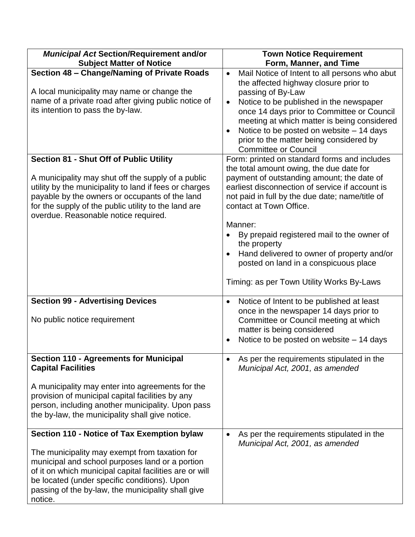| <b>Municipal Act Section/Requirement and/or</b><br><b>Subject Matter of Notice</b>                                                                                                                                                                                                                                          | <b>Town Notice Requirement</b><br>Form, Manner, and Time                                                                                                                                                                                                                                                                                                                                                                                                                             |
|-----------------------------------------------------------------------------------------------------------------------------------------------------------------------------------------------------------------------------------------------------------------------------------------------------------------------------|--------------------------------------------------------------------------------------------------------------------------------------------------------------------------------------------------------------------------------------------------------------------------------------------------------------------------------------------------------------------------------------------------------------------------------------------------------------------------------------|
| Section 48 - Change/Naming of Private Roads<br>A local municipality may name or change the<br>name of a private road after giving public notice of<br>its intention to pass the by-law.                                                                                                                                     | Mail Notice of Intent to all persons who abut<br>$\bullet$<br>the affected highway closure prior to<br>passing of By-Law<br>Notice to be published in the newspaper<br>$\bullet$<br>once 14 days prior to Committee or Council<br>meeting at which matter is being considered<br>Notice to be posted on website - 14 days<br>$\bullet$<br>prior to the matter being considered by<br><b>Committee or Council</b>                                                                     |
| <b>Section 81 - Shut Off of Public Utility</b><br>A municipality may shut off the supply of a public<br>utility by the municipality to land if fees or charges<br>payable by the owners or occupants of the land<br>for the supply of the public utility to the land are<br>overdue. Reasonable notice required.            | Form: printed on standard forms and includes<br>the total amount owing, the due date for<br>payment of outstanding amount; the date of<br>earliest disconnection of service if account is<br>not paid in full by the due date; name/title of<br>contact at Town Office.<br>Manner:<br>By prepaid registered mail to the owner of<br>the property<br>Hand delivered to owner of property and/or<br>posted on land in a conspicuous place<br>Timing: as per Town Utility Works By-Laws |
| <b>Section 99 - Advertising Devices</b><br>No public notice requirement                                                                                                                                                                                                                                                     | Notice of Intent to be published at least<br>$\bullet$<br>once in the newspaper 14 days prior to<br>Committee or Council meeting at which<br>matter is being considered<br>Notice to be posted on website - 14 days                                                                                                                                                                                                                                                                  |
| <b>Section 110 - Agreements for Municipal</b><br><b>Capital Facilities</b><br>A municipality may enter into agreements for the<br>provision of municipal capital facilities by any<br>person, including another municipality. Upon pass<br>the by-law, the municipality shall give notice.                                  | As per the requirements stipulated in the<br>Municipal Act, 2001, as amended                                                                                                                                                                                                                                                                                                                                                                                                         |
| Section 110 - Notice of Tax Exemption bylaw<br>The municipality may exempt from taxation for<br>municipal and school purposes land or a portion<br>of it on which municipal capital facilities are or will<br>be located (under specific conditions). Upon<br>passing of the by-law, the municipality shall give<br>notice. | As per the requirements stipulated in the<br>Municipal Act, 2001, as amended                                                                                                                                                                                                                                                                                                                                                                                                         |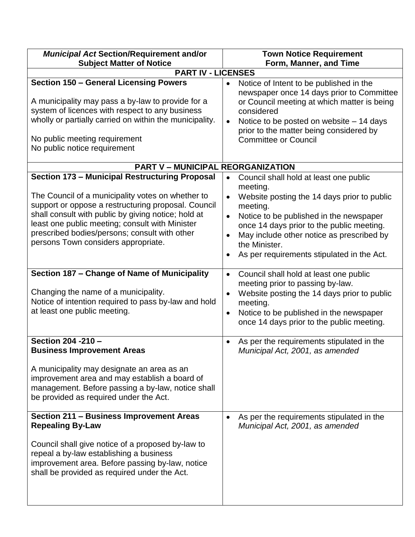| <b>Municipal Act Section/Requirement and/or</b><br><b>Subject Matter of Notice</b>                                                                                                                                                                                                                                                                                                                                            | <b>Town Notice Requirement</b><br>Form, Manner, and Time                                                                                                                                                                                                                                                                       |
|-------------------------------------------------------------------------------------------------------------------------------------------------------------------------------------------------------------------------------------------------------------------------------------------------------------------------------------------------------------------------------------------------------------------------------|--------------------------------------------------------------------------------------------------------------------------------------------------------------------------------------------------------------------------------------------------------------------------------------------------------------------------------|
| <b>PART IV - LICENSES</b>                                                                                                                                                                                                                                                                                                                                                                                                     |                                                                                                                                                                                                                                                                                                                                |
| <b>Section 150 - General Licensing Powers</b><br>A municipality may pass a by-law to provide for a<br>system of licences with respect to any business<br>wholly or partially carried on within the municipality.<br>No public meeting requirement<br>No public notice requirement                                                                                                                                             | Notice of Intent to be published in the<br>$\bullet$<br>newspaper once 14 days prior to Committee<br>or Council meeting at which matter is being<br>considered<br>Notice to be posted on website – 14 days<br>prior to the matter being considered by<br><b>Committee or Council</b>                                           |
| <b>PART V - MUNICIPAL REORGANIZATION</b>                                                                                                                                                                                                                                                                                                                                                                                      |                                                                                                                                                                                                                                                                                                                                |
| <b>Section 173 - Municipal Restructuring Proposal</b><br>The Council of a municipality votes on whether to<br>support or oppose a restructuring proposal. Council<br>shall consult with public by giving notice; hold at<br>least one public meeting; consult with Minister<br>prescribed bodies/persons; consult with other<br>persons Town considers appropriate.                                                           | Council shall hold at least one public<br>meeting.<br>Website posting the 14 days prior to public<br>meeting.<br>Notice to be published in the newspaper<br>$\bullet$<br>once 14 days prior to the public meeting.<br>May include other notice as prescribed by<br>the Minister.<br>As per requirements stipulated in the Act. |
| Section 187 - Change of Name of Municipality<br>Changing the name of a municipality.<br>Notice of intention required to pass by-law and hold<br>at least one public meeting.                                                                                                                                                                                                                                                  | Council shall hold at least one public<br>$\bullet$<br>meeting prior to passing by-law.<br>Website posting the 14 days prior to public<br>$\bullet$<br>meeting.<br>Notice to be published in the newspaper<br>$\bullet$<br>once 14 days prior to the public meeting.                                                           |
| Section 204 - 210 -<br><b>Business Improvement Areas</b><br>A municipality may designate an area as an<br>improvement area and may establish a board of<br>management. Before passing a by-law, notice shall<br>be provided as required under the Act.<br>Section 211 - Business Improvement Areas<br><b>Repealing By-Law</b><br>Council shall give notice of a proposed by-law to<br>repeal a by-law establishing a business | As per the requirements stipulated in the<br>Municipal Act, 2001, as amended<br>As per the requirements stipulated in the<br>Municipal Act, 2001, as amended                                                                                                                                                                   |
| improvement area. Before passing by-law, notice<br>shall be provided as required under the Act.                                                                                                                                                                                                                                                                                                                               |                                                                                                                                                                                                                                                                                                                                |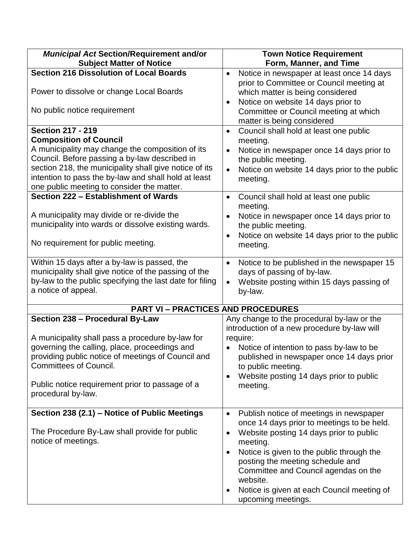| <b>Municipal Act Section/Requirement and/or</b>                                                                                                                                                                                                                                                                                                                                                                                                                                                                   | <b>Town Notice Requirement</b>                                                                                                                                                                                                                                                                                                                                                                                    |
|-------------------------------------------------------------------------------------------------------------------------------------------------------------------------------------------------------------------------------------------------------------------------------------------------------------------------------------------------------------------------------------------------------------------------------------------------------------------------------------------------------------------|-------------------------------------------------------------------------------------------------------------------------------------------------------------------------------------------------------------------------------------------------------------------------------------------------------------------------------------------------------------------------------------------------------------------|
| <b>Subject Matter of Notice</b>                                                                                                                                                                                                                                                                                                                                                                                                                                                                                   | Form, Manner, and Time                                                                                                                                                                                                                                                                                                                                                                                            |
| <b>Section 216 Dissolution of Local Boards</b><br>Power to dissolve or change Local Boards                                                                                                                                                                                                                                                                                                                                                                                                                        | Notice in newspaper at least once 14 days<br>$\bullet$<br>prior to Committee or Council meeting at<br>which matter is being considered<br>Notice on website 14 days prior to<br>$\bullet$                                                                                                                                                                                                                         |
| No public notice requirement                                                                                                                                                                                                                                                                                                                                                                                                                                                                                      | Committee or Council meeting at which<br>matter is being considered                                                                                                                                                                                                                                                                                                                                               |
| <b>Section 217 - 219</b><br><b>Composition of Council</b><br>A municipality may change the composition of its<br>Council. Before passing a by-law described in<br>section 218, the municipality shall give notice of its<br>intention to pass the by-law and shall hold at least<br>one public meeting to consider the matter.<br>Section 222 - Establishment of Wards<br>A municipality may divide or re-divide the<br>municipality into wards or dissolve existing wards.<br>No requirement for public meeting. | Council shall hold at least one public<br>$\bullet$<br>meeting.<br>Notice in newspaper once 14 days prior to<br>the public meeting.<br>Notice on website 14 days prior to the public<br>meeting.<br>Council shall hold at least one public<br>$\bullet$<br>meeting.<br>Notice in newspaper once 14 days prior to<br>$\bullet$<br>the public meeting.<br>Notice on website 14 days prior to the public<br>meeting. |
| Within 15 days after a by-law is passed, the<br>municipality shall give notice of the passing of the<br>by-law to the public specifying the last date for filing<br>a notice of appeal.                                                                                                                                                                                                                                                                                                                           | Notice to be published in the newspaper 15<br>$\bullet$<br>days of passing of by-law.<br>Website posting within 15 days passing of<br>by-law.                                                                                                                                                                                                                                                                     |
| <b>PART VI - PRACTICES AND PROCEDURES</b>                                                                                                                                                                                                                                                                                                                                                                                                                                                                         |                                                                                                                                                                                                                                                                                                                                                                                                                   |
| Section 238 - Procedural By-Law<br>A municipality shall pass a procedure by-law for<br>governing the calling, place, proceedings and<br>providing public notice of meetings of Council and<br><b>Committees of Council.</b><br>Public notice requirement prior to passage of a<br>procedural by-law.                                                                                                                                                                                                              | Any change to the procedural by-law or the<br>introduction of a new procedure by-law will<br>require:<br>Notice of intention to pass by-law to be<br>published in newspaper once 14 days prior<br>to public meeting.<br>Website posting 14 days prior to public<br>meeting.                                                                                                                                       |
| Section 238 (2.1) - Notice of Public Meetings<br>The Procedure By-Law shall provide for public<br>notice of meetings.                                                                                                                                                                                                                                                                                                                                                                                             | Publish notice of meetings in newspaper<br>$\bullet$<br>once 14 days prior to meetings to be held.<br>Website posting 14 days prior to public<br>$\bullet$<br>meeting.<br>Notice is given to the public through the<br>$\bullet$<br>posting the meeting schedule and<br>Committee and Council agendas on the<br>website.<br>Notice is given at each Council meeting of<br>upcoming meetings.                      |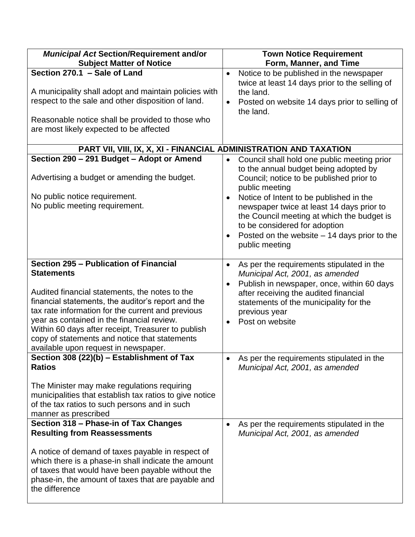| <b>Municipal Act Section/Requirement and/or</b><br><b>Subject Matter of Notice</b>                                                                                                                                                                                                                                                                                          | <b>Town Notice Requirement</b><br>Form, Manner, and Time                                                                                                                                                                                                                                                                                                                                                  |
|-----------------------------------------------------------------------------------------------------------------------------------------------------------------------------------------------------------------------------------------------------------------------------------------------------------------------------------------------------------------------------|-----------------------------------------------------------------------------------------------------------------------------------------------------------------------------------------------------------------------------------------------------------------------------------------------------------------------------------------------------------------------------------------------------------|
| Section 270.1 - Sale of Land<br>A municipality shall adopt and maintain policies with<br>respect to the sale and other disposition of land.<br>Reasonable notice shall be provided to those who<br>are most likely expected to be affected                                                                                                                                  | Notice to be published in the newspaper<br>$\bullet$<br>twice at least 14 days prior to the selling of<br>the land.<br>Posted on website 14 days prior to selling of<br>$\bullet$<br>the land.                                                                                                                                                                                                            |
|                                                                                                                                                                                                                                                                                                                                                                             |                                                                                                                                                                                                                                                                                                                                                                                                           |
| PART VII, VIII, IX, X, XI - FINANCIAL ADMINISTRATION AND TAXATION<br>Section 290 - 291 Budget - Adopt or Amend                                                                                                                                                                                                                                                              |                                                                                                                                                                                                                                                                                                                                                                                                           |
| Advertising a budget or amending the budget.<br>No public notice requirement.<br>No public meeting requirement.                                                                                                                                                                                                                                                             | Council shall hold one public meeting prior<br>$\bullet$<br>to the annual budget being adopted by<br>Council; notice to be published prior to<br>public meeting<br>Notice of Intent to be published in the<br>newspaper twice at least 14 days prior to<br>the Council meeting at which the budget is<br>to be considered for adoption<br>Posted on the website $-14$ days prior to the<br>public meeting |
| Section 295 - Publication of Financial                                                                                                                                                                                                                                                                                                                                      | As per the requirements stipulated in the<br>$\bullet$                                                                                                                                                                                                                                                                                                                                                    |
| <b>Statements</b><br>Audited financial statements, the notes to the<br>financial statements, the auditor's report and the<br>tax rate information for the current and previous<br>year as contained in the financial review.<br>Within 60 days after receipt, Treasurer to publish<br>copy of statements and notice that statements<br>available upon request in newspaper. | Municipal Act, 2001, as amended<br>Publish in newspaper, once, within 60 days<br>$\bullet$<br>after receiving the audited financial<br>statements of the municipality for the<br>previous year<br>Post on website<br>$\bullet$                                                                                                                                                                            |
| Section 308 (22)(b) - Establishment of Tax<br><b>Ratios</b>                                                                                                                                                                                                                                                                                                                 | As per the requirements stipulated in the<br>Municipal Act, 2001, as amended                                                                                                                                                                                                                                                                                                                              |
| The Minister may make regulations requiring<br>municipalities that establish tax ratios to give notice<br>of the tax ratios to such persons and in such<br>manner as prescribed                                                                                                                                                                                             |                                                                                                                                                                                                                                                                                                                                                                                                           |
| Section 318 - Phase-in of Tax Changes<br><b>Resulting from Reassessments</b><br>A notice of demand of taxes payable in respect of<br>which there is a phase-in shall indicate the amount<br>of taxes that would have been payable without the<br>phase-in, the amount of taxes that are payable and<br>the difference                                                       | As per the requirements stipulated in the<br>Municipal Act, 2001, as amended                                                                                                                                                                                                                                                                                                                              |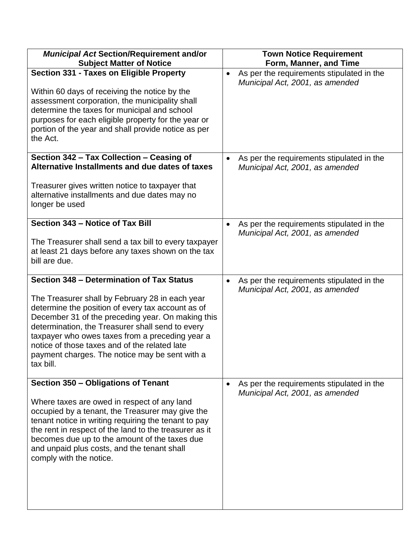| <b>Municipal Act Section/Requirement and/or</b>                                                                                                                                                                                                                                                                                                                                  | <b>Town Notice Requirement</b>                                                            |
|----------------------------------------------------------------------------------------------------------------------------------------------------------------------------------------------------------------------------------------------------------------------------------------------------------------------------------------------------------------------------------|-------------------------------------------------------------------------------------------|
| <b>Subject Matter of Notice</b>                                                                                                                                                                                                                                                                                                                                                  | Form, Manner, and Time                                                                    |
| Section 331 - Taxes on Eligible Property<br>Within 60 days of receiving the notice by the<br>assessment corporation, the municipality shall<br>determine the taxes for municipal and school<br>purposes for each eligible property for the year or<br>portion of the year and shall provide notice as per<br>the Act.                                                            | As per the requirements stipulated in the<br>$\bullet$<br>Municipal Act, 2001, as amended |
| Section 342 - Tax Collection - Ceasing of                                                                                                                                                                                                                                                                                                                                        | As per the requirements stipulated in the                                                 |
| Alternative Installments and due dates of taxes                                                                                                                                                                                                                                                                                                                                  | Municipal Act, 2001, as amended                                                           |
| Treasurer gives written notice to taxpayer that<br>alternative installments and due dates may no<br>longer be used                                                                                                                                                                                                                                                               |                                                                                           |
| Section 343 - Notice of Tax Bill                                                                                                                                                                                                                                                                                                                                                 | As per the requirements stipulated in the                                                 |
| The Treasurer shall send a tax bill to every taxpayer<br>at least 21 days before any taxes shown on the tax<br>bill are due.                                                                                                                                                                                                                                                     | Municipal Act, 2001, as amended                                                           |
| Section 348 - Determination of Tax Status                                                                                                                                                                                                                                                                                                                                        | As per the requirements stipulated in the<br>$\bullet$                                    |
| The Treasurer shall by February 28 in each year<br>determine the position of every tax account as of<br>December 31 of the preceding year. On making this<br>determination, the Treasurer shall send to every<br>taxpayer who owes taxes from a preceding year a<br>notice of those taxes and of the related late<br>payment charges. The notice may be sent with a<br>tax bill. | Municipal Act, 2001, as amended                                                           |
| Section 350 - Obligations of Tenant                                                                                                                                                                                                                                                                                                                                              | As per the requirements stipulated in the                                                 |
| Where taxes are owed in respect of any land<br>occupied by a tenant, the Treasurer may give the<br>tenant notice in writing requiring the tenant to pay<br>the rent in respect of the land to the treasurer as it<br>becomes due up to the amount of the taxes due<br>and unpaid plus costs, and the tenant shall<br>comply with the notice.                                     | Municipal Act, 2001, as amended                                                           |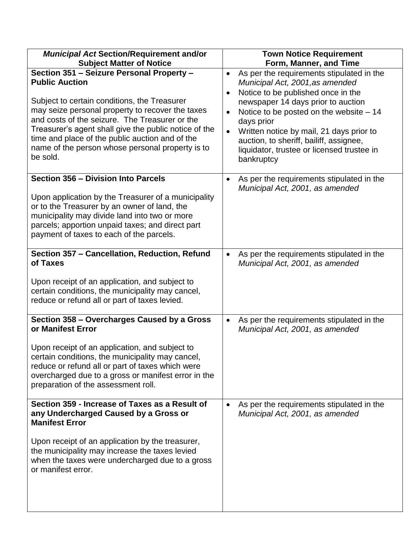| <b>Municipal Act Section/Requirement and/or</b>                                                                                                                                                                                                                                                                                | <b>Town Notice Requirement</b>                                                                                                                                                                                                                               |
|--------------------------------------------------------------------------------------------------------------------------------------------------------------------------------------------------------------------------------------------------------------------------------------------------------------------------------|--------------------------------------------------------------------------------------------------------------------------------------------------------------------------------------------------------------------------------------------------------------|
| <b>Subject Matter of Notice</b>                                                                                                                                                                                                                                                                                                | Form, Manner, and Time                                                                                                                                                                                                                                       |
| Section 351 - Seizure Personal Property -<br><b>Public Auction</b>                                                                                                                                                                                                                                                             | As per the requirements stipulated in the<br>$\bullet$<br>Municipal Act, 2001, as amended<br>Notice to be published once in the                                                                                                                              |
| Subject to certain conditions, the Treasurer<br>may seize personal property to recover the taxes<br>and costs of the seizure. The Treasurer or the<br>Treasurer's agent shall give the public notice of the<br>time and place of the public auction and of the<br>name of the person whose personal property is to<br>be sold. | newspaper 14 days prior to auction<br>Notice to be posted on the website $-14$<br>days prior<br>Written notice by mail, 21 days prior to<br>$\bullet$<br>auction, to sheriff, bailiff, assignee,<br>liquidator, trustee or licensed trustee in<br>bankruptcy |
| Section 356 - Division Into Parcels<br>Upon application by the Treasurer of a municipality<br>or to the Treasurer by an owner of land, the<br>municipality may divide land into two or more<br>parcels; apportion unpaid taxes; and direct part<br>payment of taxes to each of the parcels.                                    | As per the requirements stipulated in the<br>$\bullet$<br>Municipal Act, 2001, as amended                                                                                                                                                                    |
| Section 357 - Cancellation, Reduction, Refund<br>of Taxes<br>Upon receipt of an application, and subject to<br>certain conditions, the municipality may cancel,<br>reduce or refund all or part of taxes levied.                                                                                                               | As per the requirements stipulated in the<br>Municipal Act, 2001, as amended                                                                                                                                                                                 |
| Section 358 - Overcharges Caused by a Gross<br>or Manifest Error                                                                                                                                                                                                                                                               | As per the requirements stipulated in the<br>Municipal Act, 2001, as amended                                                                                                                                                                                 |
| Upon receipt of an application, and subject to<br>certain conditions, the municipality may cancel,<br>reduce or refund all or part of taxes which were<br>overcharged due to a gross or manifest error in the<br>preparation of the assessment roll.                                                                           |                                                                                                                                                                                                                                                              |
| Section 359 - Increase of Taxes as a Result of<br>any Undercharged Caused by a Gross or<br><b>Manifest Error</b>                                                                                                                                                                                                               | As per the requirements stipulated in the<br>Municipal Act, 2001, as amended                                                                                                                                                                                 |
| Upon receipt of an application by the treasurer,<br>the municipality may increase the taxes levied<br>when the taxes were undercharged due to a gross<br>or manifest error.                                                                                                                                                    |                                                                                                                                                                                                                                                              |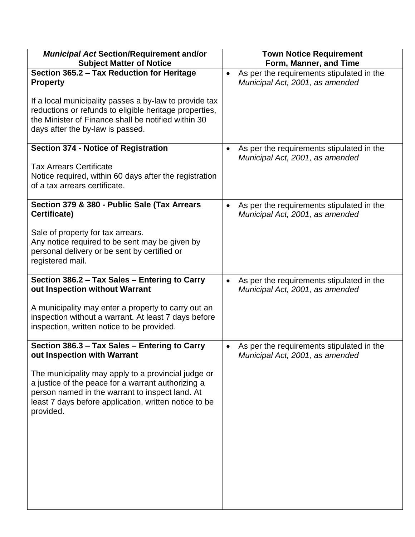| <b>Municipal Act Section/Requirement and/or</b><br><b>Subject Matter of Notice</b>                                                                                                                                                 | <b>Town Notice Requirement</b><br>Form, Manner, and Time                                  |
|------------------------------------------------------------------------------------------------------------------------------------------------------------------------------------------------------------------------------------|-------------------------------------------------------------------------------------------|
| Section 365.2 - Tax Reduction for Heritage<br><b>Property</b>                                                                                                                                                                      | As per the requirements stipulated in the<br>$\bullet$<br>Municipal Act, 2001, as amended |
| If a local municipality passes a by-law to provide tax<br>reductions or refunds to eligible heritage properties,<br>the Minister of Finance shall be notified within 30<br>days after the by-law is passed.                        |                                                                                           |
| <b>Section 374 - Notice of Registration</b><br><b>Tax Arrears Certificate</b><br>Notice required, within 60 days after the registration                                                                                            | As per the requirements stipulated in the<br>Municipal Act, 2001, as amended              |
| of a tax arrears certificate.                                                                                                                                                                                                      |                                                                                           |
| Section 379 & 380 - Public Sale (Tax Arrears<br>Certificate)                                                                                                                                                                       | As per the requirements stipulated in the<br>Municipal Act, 2001, as amended              |
| Sale of property for tax arrears.<br>Any notice required to be sent may be given by<br>personal delivery or be sent by certified or<br>registered mail.                                                                            |                                                                                           |
| Section 386.2 - Tax Sales - Entering to Carry<br>out Inspection without Warrant                                                                                                                                                    | As per the requirements stipulated in the<br>$\bullet$<br>Municipal Act, 2001, as amended |
| A municipality may enter a property to carry out an<br>inspection without a warrant. At least 7 days before<br>inspection, written notice to be provided.                                                                          |                                                                                           |
| Section 386.3 - Tax Sales - Entering to Carry<br>out Inspection with Warrant                                                                                                                                                       | As per the requirements stipulated in the<br>Municipal Act, 2001, as amended              |
| The municipality may apply to a provincial judge or<br>a justice of the peace for a warrant authorizing a<br>person named in the warrant to inspect land. At<br>least 7 days before application, written notice to be<br>provided. |                                                                                           |
|                                                                                                                                                                                                                                    |                                                                                           |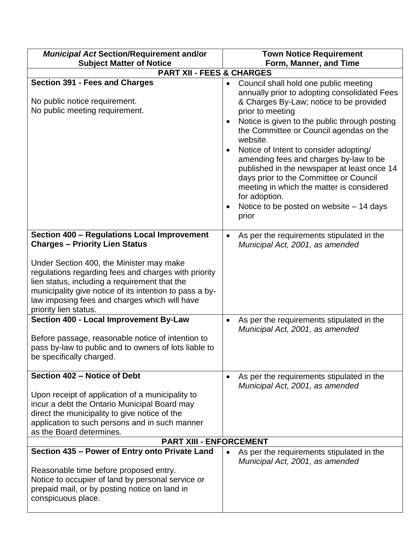| <b>Municipal Act Section/Requirement and/or</b>                                                                                                                                                                                                                                                                                                                                | <b>Town Notice Requirement</b>                                                                                                                                                                                                                                                                                                                                                                                                                                                                                                                               |
|--------------------------------------------------------------------------------------------------------------------------------------------------------------------------------------------------------------------------------------------------------------------------------------------------------------------------------------------------------------------------------|--------------------------------------------------------------------------------------------------------------------------------------------------------------------------------------------------------------------------------------------------------------------------------------------------------------------------------------------------------------------------------------------------------------------------------------------------------------------------------------------------------------------------------------------------------------|
| <b>Subject Matter of Notice</b>                                                                                                                                                                                                                                                                                                                                                | Form, Manner, and Time                                                                                                                                                                                                                                                                                                                                                                                                                                                                                                                                       |
| <b>PART XII - FEES &amp; CHARGES</b>                                                                                                                                                                                                                                                                                                                                           |                                                                                                                                                                                                                                                                                                                                                                                                                                                                                                                                                              |
| <b>Section 391 - Fees and Charges</b><br>No public notice requirement.<br>No public meeting requirement.                                                                                                                                                                                                                                                                       | Council shall hold one public meeting<br>annually prior to adopting consolidated Fees<br>& Charges By-Law; notice to be provided<br>prior to meeting<br>Notice is given to the public through posting<br>the Committee or Council agendas on the<br>website.<br>Notice of Intent to consider adopting/<br>amending fees and charges by-law to be<br>published in the newspaper at least once 14<br>days prior to the Committee or Council<br>meeting in which the matter is considered<br>for adoption.<br>Notice to be posted on website - 14 days<br>prior |
| Section 400 - Regulations Local Improvement<br><b>Charges - Priority Lien Status</b><br>Under Section 400, the Minister may make<br>regulations regarding fees and charges with priority<br>lien status, including a requirement that the<br>municipality give notice of its intention to pass a by-<br>law imposing fees and charges which will have<br>priority lien status. | As per the requirements stipulated in the<br>Municipal Act, 2001, as amended                                                                                                                                                                                                                                                                                                                                                                                                                                                                                 |
| Section 400 - Local Improvement By-Law<br>Before passage, reasonable notice of intention to<br>pass by-law to public and to owners of lots liable to<br>be specifically charged.                                                                                                                                                                                               | As per the requirements stipulated in the<br>Municipal Act, 2001, as amended                                                                                                                                                                                                                                                                                                                                                                                                                                                                                 |
| Section 402 - Notice of Debt<br>Upon receipt of application of a municipality to<br>incur a debt the Ontario Municipal Board may<br>direct the municipality to give notice of the<br>application to such persons and in such manner<br>as the Board determines.<br><b>PART XIII - ENFORCEMENT</b>                                                                              | As per the requirements stipulated in the<br>$\bullet$<br>Municipal Act, 2001, as amended                                                                                                                                                                                                                                                                                                                                                                                                                                                                    |
|                                                                                                                                                                                                                                                                                                                                                                                |                                                                                                                                                                                                                                                                                                                                                                                                                                                                                                                                                              |
| Section 435 - Power of Entry onto Private Land<br>Reasonable time before proposed entry.<br>Notice to occupier of land by personal service or<br>prepaid mail, or by posting notice on land in<br>conspicuous place.                                                                                                                                                           | As per the requirements stipulated in the<br>Municipal Act, 2001, as amended                                                                                                                                                                                                                                                                                                                                                                                                                                                                                 |